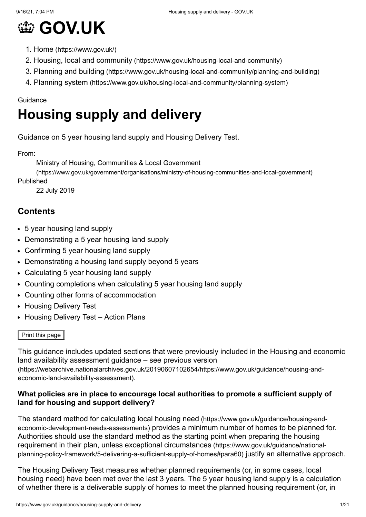

- 1. Home [\(https://www.gov.uk/\)](https://www.gov.uk/)
- 2. Housing, local and community [\(https://www.gov.uk/housing-local-and-community\)](https://www.gov.uk/housing-local-and-community)
- 3. Planning and building [\(https://www.gov.uk/housing-local-and-community/planning-and-building\)](https://www.gov.uk/housing-local-and-community/planning-and-building)
- 4. Planning system [\(https://www.gov.uk/housing-local-and-community/planning-system\)](https://www.gov.uk/housing-local-and-community/planning-system)

#### Guidance

# **Housing supply and delivery**

Guidance on 5 year housing land supply and Housing Delivery Test.

From:

Ministry of Housing, Communities & Local Government

[\(https://www.gov.uk/government/organisations/ministry-of-housing-communities-and-local-government\)](https://www.gov.uk/government/organisations/ministry-of-housing-communities-and-local-government)

Published

22 July 2019

## **Contents**

- [5 year housing land supply](#page-1-0)
- [Demonstrating a 5 year housing land supply](#page-1-1)
- [Confirming 5 year housing land supply](#page-3-0)
- [Demonstrating a housing land supply beyond 5 years](#page-7-0)
- [Calculating 5 year housing land supply](#page-9-0)
- [Counting completions when calculating 5 year housing land supply](#page-11-0)
- [Counting other forms of accommodation](#page-12-0)
- **[Housing Delivery Test](#page-13-0)**
- [Housing Delivery Test Action Plans](#page-16-0)

#### Print this page

This guidance includes updated sections that were previously included in the Housing and economic land availability assessment guidance – see previous version [\(https://webarchive.nationalarchives.gov.uk/20190607102654/https://www.gov.uk/guidance/housing-and](https://webarchive.nationalarchives.gov.uk/20190607102654/https://www.gov.uk/guidance/housing-and-economic-land-availability-assessment)economic-land-availability-assessment).

#### **What policies are in place to encourage local authorities to promote a sufficient supply of land for housing and support delivery?**

[The standard method for calculating local housing need](https://www.gov.uk/guidance/housing-and-economic-development-needs-assessments) (https://www.gov.uk/guidance/housing-andeconomic-development-needs-assessments) provides a minimum number of homes to be planned for. Authorities should use the standard method as the starting point when preparing the housing requirement in their plan, unless exceptional circumstances (https://www.gov.uk/guidance/national[planning-policy-framework/5-delivering-a-sufficient-supply-of-homes#para60\)](https://www.gov.uk/guidance/national-planning-policy-framework/5-delivering-a-sufficient-supply-of-homes#para60) justify an alternative approach.

The Housing Delivery Test measures whether planned requirements (or, in some cases, local housing need) have been met over the last 3 years. The 5 year housing land supply is a calculation of whether there is a deliverable supply of homes to meet the planned housing requirement (or, in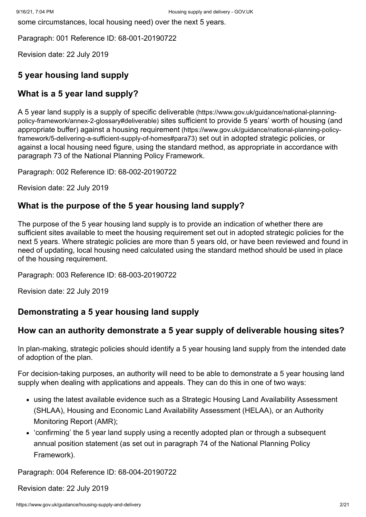some circumstances, local housing need) over the next 5 years.

Paragraph: 001 Reference ID: 68-001-20190722

Revision date: 22 July 2019

#### <span id="page-1-0"></span>**5 year housing land supply**

#### **What is a 5 year land supply?**

[A 5 year land supply is a supply of specific deliverable](https://www.gov.uk/guidance/national-planning-policy-framework/annex-2-glossary#deliverable) (https://www.gov.uk/guidance/national-planningpolicy-framework/annex-2-glossary#deliverable) sites sufficient to provide 5 years' worth of housing (and [appropriate buffer\) against a housing requirement](https://www.gov.uk/guidance/national-planning-policy-framework/5-delivering-a-sufficient-supply-of-homes#para73) (https://www.gov.uk/guidance/national-planning-policyframework/5-delivering-a-sufficient-supply-of-homes#para73) set out in adopted strategic policies, or against a local housing need figure, using the standard method, as appropriate in accordance with paragraph 73 of the National Planning Policy Framework.

Paragraph: 002 Reference ID: 68-002-20190722

Revision date: 22 July 2019

#### **What is the purpose of the 5 year housing land supply?**

The purpose of the 5 year housing land supply is to provide an indication of whether there are sufficient sites available to meet the housing requirement set out in adopted strategic policies for the next 5 years. Where strategic policies are more than 5 years old, or have been reviewed and found in need of updating, local housing need calculated using the standard method should be used in place of the housing requirement.

Paragraph: 003 Reference ID: 68-003-20190722

Revision date: 22 July 2019

#### <span id="page-1-1"></span>**Demonstrating a 5 year housing land supply**

#### **How can an authority demonstrate a 5 year supply of deliverable housing sites?**

In plan-making, strategic policies should identify a 5 year housing land supply from the intended date of adoption of the plan.

For decision-taking purposes, an authority will need to be able to demonstrate a 5 year housing land supply when dealing with applications and appeals. They can do this in one of two ways:

- using the latest available evidence such as a Strategic Housing Land Availability Assessment (SHLAA), Housing and Economic Land Availability Assessment (HELAA), or an Authority Monitoring Report (AMR);
- ['confirming'](#page-3-0) the 5 year land supply using a recently adopted plan or through a subsequent annual position statement (as set out in paragraph 74 of the National Planning Policy Framework).

Paragraph: 004 Reference ID: 68-004-20190722

Revision date: 22 July 2019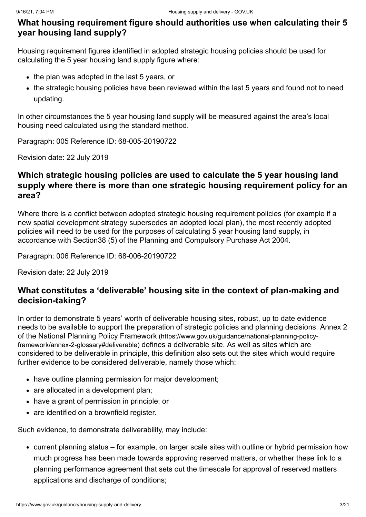#### <span id="page-2-0"></span>**What housing requirement figure should authorities use when calculating their 5 year housing land supply?**

Housing requirement figures identified in adopted strategic housing policies should be used for calculating the 5 year housing land supply figure where:

- the plan was adopted in the last 5 years, or
- the strategic housing policies have been reviewed within the last 5 years and found not to need updating.

In other circumstances the 5 year housing land supply will be measured against the area's local housing need calculated using the standard method.

Paragraph: 005 Reference ID: 68-005-20190722

Revision date: 22 July 2019

#### **Which strategic housing policies are used to calculate the 5 year housing land supply where there is more than one strategic housing requirement policy for an area?**

Where there is a conflict between adopted strategic housing requirement policies (for example if a new spatial development strategy supersedes an adopted local plan), the most recently adopted policies will need to be used for the purposes of calculating 5 year housing land supply, in accordance with Section38 (5) of the Planning and Compulsory Purchase Act 2004.

Paragraph: 006 Reference ID: 68-006-20190722

Revision date: 22 July 2019

#### **What constitutes a 'deliverable' housing site in the context of plan-making and decision-taking?**

In order to demonstrate 5 years' worth of deliverable housing sites, robust, up to date evidence [needs to be available to support the preparation of strategic policies and planning decisions. Annex 2](https://www.gov.uk/guidance/national-planning-policy-framework/annex-2-glossary#deliverable) of the National Planning Policy Framework (https://www.gov.uk/guidance/national-planning-policyframework/annex-2-glossary#deliverable) defines a deliverable site. As well as sites which are considered to be deliverable in principle, this definition also sets out the sites which would require further evidence to be considered deliverable, namely those which:

- have outline planning permission for major development;
- are allocated in a development plan:
- have a grant of permission in principle; or
- are identified on a brownfield register.

Such evidence, to demonstrate deliverability, may include:

current planning status – for example, on larger scale sites with outline or hybrid permission how much progress has been made towards approving reserved matters, or whether these link to a planning performance agreement that sets out the timescale for approval of reserved matters applications and discharge of conditions;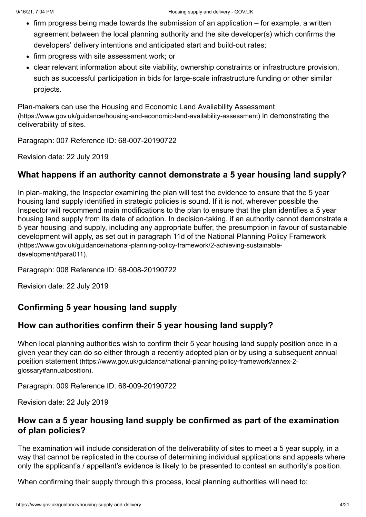- firm progress being made towards the submission of an application for example, a written agreement between the local planning authority and the site developer(s) which confirms the developers' delivery intentions and anticipated start and build-out rates;
- firm progress with site assessment work; or
- clear relevant information about site viability, ownership constraints or infrastructure provision, such as successful participation in bids for large-scale infrastructure funding or other similar projects.

[Plan-makers can use the Housing and Economic Land Availability Assessment](https://www.gov.uk/guidance/housing-and-economic-land-availability-assessment) (https://www.gov.uk/guidance/housing-and-economic-land-availability-assessment) in demonstrating the deliverability of sites.

Paragraph: 007 Reference ID: 68-007-20190722

Revision date: 22 July 2019

#### **What happens if an authority cannot demonstrate a 5 year housing land supply?**

In plan-making, the Inspector examining the plan will test the evidence to ensure that the 5 year housing land supply identified in strategic policies is sound. If it is not, wherever possible the Inspector will recommend main modifications to the plan to ensure that the plan identifies a 5 year housing land supply from its date of adoption. In decision-taking, if an authority cannot demonstrate a 5 year housing land supply, including any appropriate buffer, the presumption in favour of sustainable [development will apply, as set out in paragraph 11d of the National Planning Policy Framework](https://www.gov.uk/guidance/national-planning-policy-framework/2-achieving-sustainable-development#para011) (https://www.gov.uk/guidance/national-planning-policy-framework/2-achieving-sustainabledevelopment#para011).

Paragraph: 008 Reference ID: 68-008-20190722

Revision date: 22 July 2019

#### <span id="page-3-0"></span>**Confirming 5 year housing land supply**

#### **How can authorities confirm their 5 year housing land supply?**

When local planning authorities wish to confirm their 5 year housing land supply position once in a [given year they can do so either through a recently adopted plan or by using a subsequent annual](https://www.gov.uk/guidance/national-planning-policy-framework/annex-2-glossary#annualposition) position statement (https://www.gov.uk/guidance/national-planning-policy-framework/annex-2 glossary#annualposition).

Paragraph: 009 Reference ID: 68-009-20190722

Revision date: 22 July 2019

#### **How can a 5 year housing land supply be confirmed as part of the examination of plan policies?**

The examination will include consideration of the deliverability of sites to meet a 5 year supply, in a way that cannot be replicated in the course of determining individual applications and appeals where only the applicant's / appellant's evidence is likely to be presented to contest an authority's position.

When confirming their supply through this process, local planning authorities will need to: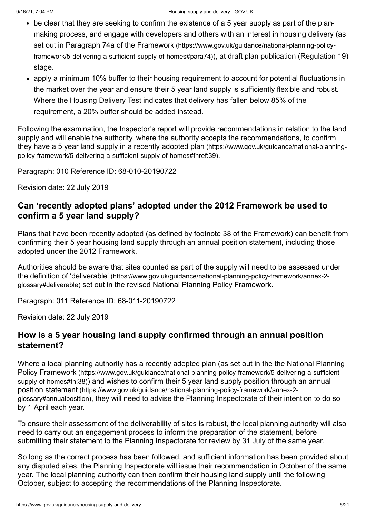- be clear that they are seeking to confirm the existence of a 5 year supply as part of the planmaking process, and engage with developers and others with an interest in housing delivery (as set out in Paragraph 74a of the Framework (https://www.gov.uk/guidance/national-planning-policy[framework/5-delivering-a-sufficient-supply-of-homes#para74\)](https://www.gov.uk/guidance/national-planning-policy-framework/5-delivering-a-sufficient-supply-of-homes#para74)), at draft plan publication (Regulation 19) stage.
- apply a minimum 10% buffer to their housing requirement to account for potential fluctuations in the market over the year and ensure their 5 year land supply is sufficiently flexible and robust. Where the [Housing Delivery Test](#page-13-0) indicates that delivery has fallen below 85% of the requirement, a 20% buffer should be added instead.

Following the examination, the Inspector's report will provide recommendations in relation to the land supply and will enable the authority, where the authority accepts the recommendations, to confirm [they have a 5 year land supply in a recently adopted plan](https://www.gov.uk/guidance/national-planning-policy-framework/5-delivering-a-sufficient-supply-of-homes#fnref:39) (https://www.gov.uk/guidance/national-planningpolicy-framework/5-delivering-a-sufficient-supply-of-homes#fnref:39).

Paragraph: 010 Reference ID: 68-010-20190722

Revision date: 22 July 2019

#### **Can 'recently adopted plans' adopted under the 2012 Framework be used to confirm a 5 year land supply?**

Plans that have been recently adopted (as defined by footnote 38 of the Framework) can benefit from confirming their 5 year housing land supply through an annual position statement, including those adopted under the 2012 Framework.

Authorities should be aware that sites counted as part of the supply will need to be assessed under the definition of 'deliverable' [\(https://www.gov.uk/guidance/national-planning-policy-framework/annex-2](https://www.gov.uk/guidance/national-planning-policy-framework/annex-2-glossary#deliverable) glossary#deliverable) set out in the revised National Planning Policy Framework.

Paragraph: 011 Reference ID: 68-011-20190722

Revision date: 22 July 2019

#### **How is a 5 year housing land supply confirmed through an annual position statement?**

[Where a local planning authority has a recently adopted plan \(as set out in the the National Planning](https://www.gov.uk/guidance/national-planning-policy-framework/5-delivering-a-sufficient-supply-of-homes#fn:38) Policy Framework (https://www.gov.uk/guidance/national-planning-policy-framework/5-delivering-a-sufficientsupply-of-homes#fn:38)[\) and wishes to confirm their 5 year land supply position through an annual](https://www.gov.uk/guidance/national-planning-policy-framework/annex-2-glossary#annualposition) position statement (https://www.gov.uk/guidance/national-planning-policy-framework/annex-2 glossary#annualposition), they will need to advise the Planning Inspectorate of their intention to do so by 1 April each year.

To ensure their assessment of the deliverability of sites is robust, the local planning authority will also need to carry out an engagement process to inform the preparation of the statement, before submitting their statement to the Planning Inspectorate for review by 31 July of the same year.

So long as the correct process has been followed, and sufficient information has been provided about any disputed sites, the Planning Inspectorate will issue their recommendation in October of the same year. The local planning authority can then confirm their housing land supply until the following October, subject to accepting the recommendations of the Planning Inspectorate.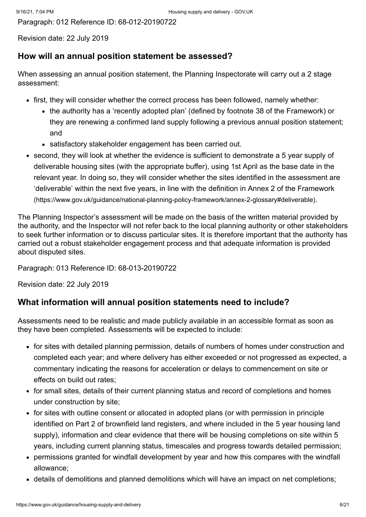Paragraph: 012 Reference ID: 68-012-20190722

Revision date: 22 July 2019

#### **How will an annual position statement be assessed?**

When assessing an annual position statement, the Planning Inspectorate will carry out a 2 stage assessment:

- first, they will consider whether the correct process has been followed, namely whether:
	- the authority has a 'recently adopted plan' (defined by footnote 38 of the Framework) or they are renewing a confirmed land supply following a previous annual position statement; and
	- satisfactory stakeholder engagement has been carried out.
- second, they will look at whether the evidence is sufficient to demonstrate a 5 year supply of deliverable housing sites (with the appropriate buffer), using 1st April as the base date in the relevant year. In doing so, they will consider whether the sites identified in the assessment are ['deliverable' within the next five years, in line with the definition in Annex 2 of the Framework](https://www.gov.uk/guidance/national-planning-policy-framework/annex-2-glossary#deliverable) (https://www.gov.uk/guidance/national-planning-policy-framework/annex-2-glossary#deliverable).

The Planning Inspector's assessment will be made on the basis of the written material provided by the authority, and the Inspector will not refer back to the local planning authority or other stakeholders to seek further information or to discuss particular sites. It is therefore important that the authority has carried out a robust stakeholder engagement process and that adequate information is provided about disputed sites.

Paragraph: 013 Reference ID: 68-013-20190722

Revision date: 22 July 2019

#### **What information will annual position statements need to include?**

Assessments need to be realistic and made publicly available in an accessible format as soon as they have been completed. Assessments will be expected to include:

- for sites with detailed planning permission, details of numbers of homes under construction and completed each year; and where delivery has either exceeded or not progressed as expected, a commentary indicating the reasons for acceleration or delays to commencement on site or effects on build out rates;
- for small sites, details of their current planning status and record of completions and homes under construction by site;
- for sites with outline consent or allocated in adopted plans (or with permission in principle identified on Part 2 of brownfield land registers, and where included in the 5 year housing land supply), information and clear evidence that there will be housing completions on site within 5 years, including current planning status, timescales and progress towards detailed permission;
- permissions granted for windfall development by year and how this compares with the windfall allowance;
- details of demolitions and planned demolitions which will have an impact on net completions;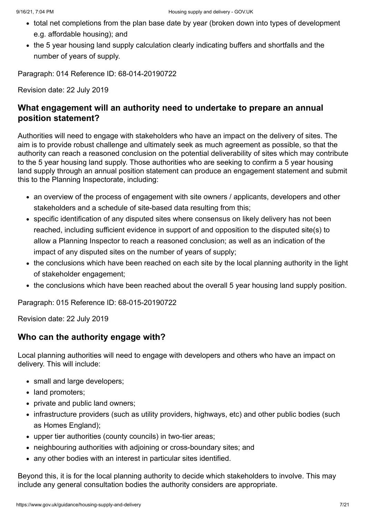- total net completions from the plan base date by year (broken down into types of development e.g. affordable housing); and
- the 5 year housing land supply calculation clearly indicating buffers and shortfalls and the number of years of supply.

Paragraph: 014 Reference ID: 68-014-20190722

Revision date: 22 July 2019

#### **What engagement will an authority need to undertake to prepare an annual position statement?**

Authorities will need to engage with stakeholders who have an impact on the delivery of sites. The aim is to provide robust challenge and ultimately seek as much agreement as possible, so that the authority can reach a reasoned conclusion on the potential deliverability of sites which may contribute to the 5 year housing land supply. Those authorities who are seeking to confirm a 5 year housing land supply through an annual position statement can produce an engagement statement and submit this to the Planning Inspectorate, including:

- an overview of the process of engagement with site owners / applicants, developers and other stakeholders and a schedule of site-based data resulting from this;
- specific identification of any disputed sites where consensus on likely delivery has not been reached, including sufficient evidence in support of and opposition to the disputed site(s) to allow a Planning Inspector to reach a reasoned conclusion; as well as an indication of the impact of any disputed sites on the number of years of supply;
- the conclusions which have been reached on each site by the local planning authority in the light of stakeholder engagement;
- the conclusions which have been reached about the overall 5 year housing land supply position.

Paragraph: 015 Reference ID: 68-015-20190722

Revision date: 22 July 2019

#### **Who can the authority engage with?**

Local planning authorities will need to engage with developers and others who have an impact on delivery. This will include:

- small and large developers;
- land promoters:
- private and public land owners:
- infrastructure providers (such as utility providers, highways, etc) and other public bodies (such as Homes England);
- upper tier authorities (county councils) in two-tier areas;
- neighbouring authorities with adjoining or cross-boundary sites; and
- any other bodies with an interest in particular sites identified.

Beyond this, it is for the local planning authority to decide which stakeholders to involve. This may include any general consultation bodies the authority considers are appropriate.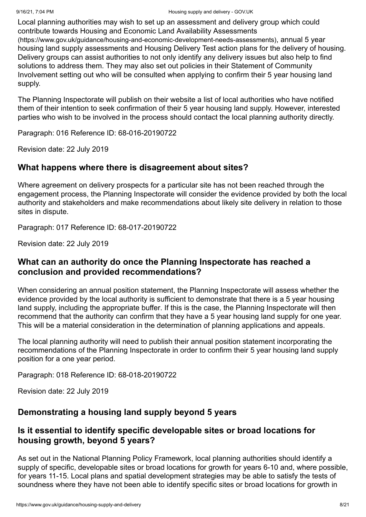Local planning authorities may wish to set up an assessment and delivery group which could [contribute towards Housing and Economic Land Availability Assessments](https://www.gov.uk/guidance/housing-and-economic-development-needs-assessments) (https://www.gov.uk/guidance/housing-and-economic-development-needs-assessments), annual 5 year housing land supply assessments and Housing Delivery Test action plans for the delivery of housing. Delivery groups can assist authorities to not only identify any delivery issues but also help to find

solutions to address them. They may also set out policies in their Statement of Community Involvement setting out who will be consulted when applying to confirm their 5 year housing land supply.

The Planning Inspectorate will publish on their website a list of local authorities who have notified them of their intention to seek confirmation of their 5 year housing land supply. However, interested parties who wish to be involved in the process should contact the local planning authority directly.

Paragraph: 016 Reference ID: 68-016-20190722

Revision date: 22 July 2019

## **What happens where there is disagreement about sites?**

Where agreement on delivery prospects for a particular site has not been reached through the engagement process, the Planning Inspectorate will consider the evidence provided by both the local authority and stakeholders and make recommendations about likely site delivery in relation to those sites in dispute.

Paragraph: 017 Reference ID: 68-017-20190722

Revision date: 22 July 2019

## **What can an authority do once the Planning Inspectorate has reached a conclusion and provided recommendations?**

When considering an annual position statement, the Planning Inspectorate will assess whether the evidence provided by the local authority is sufficient to demonstrate that there is a 5 year housing land supply, including the [appropriate buffer.](#page-9-0) If this is the case, the Planning Inspectorate will then recommend that the authority can confirm that they have a 5 year housing land supply for one year. This will be a material consideration in the determination of planning applications and appeals.

The local planning authority will need to publish their annual position statement incorporating the recommendations of the Planning Inspectorate in order to confirm their 5 year housing land supply position for a one year period.

Paragraph: 018 Reference ID: 68-018-20190722

Revision date: 22 July 2019

## <span id="page-7-0"></span>**Demonstrating a housing land supply beyond 5 years**

## **Is it essential to identify specific developable sites or broad locations for housing growth, beyond 5 years?**

As set out in the National Planning Policy Framework, local planning authorities should identify a supply of specific, developable sites or broad locations for growth for years 6-10 and, where possible, for years 11-15. Local plans and spatial development strategies may be able to satisfy the tests of soundness where they have not been able to identify specific sites or broad locations for growth in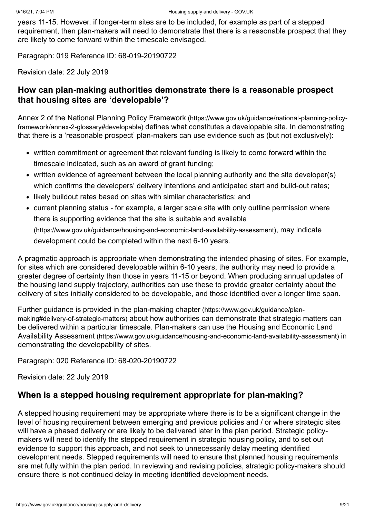years 11-15. However, if longer-term sites are to be included, for example as part of a stepped requirement, then plan-makers will need to demonstrate that there is a reasonable prospect that they are likely to come forward within the timescale envisaged.

Paragraph: 019 Reference ID: 68-019-20190722

Revision date: 22 July 2019

#### **How can plan-making authorities demonstrate there is a reasonable prospect that housing sites are 'developable'?**

Annex 2 of the National Planning Policy Framework (https://www.gov.uk/guidance/national-planning-policyframework/annex-2-glossary#developable) [defines what constitutes a developable site. In demonstrating](https://www.gov.uk/guidance/national-planning-policy-framework/annex-2-glossary#developable) that there is a 'reasonable prospect' plan-makers can use evidence such as (but not exclusively):

- written commitment or agreement that relevant funding is likely to come forward within the timescale indicated, such as an award of grant funding;
- written evidence of agreement between the local planning authority and the site developer(s) which confirms the developers' delivery intentions and anticipated start and build-out rates;
- likely buildout rates based on sites with similar characteristics; and
- current planning status for example, a larger scale site with only outline permission where there is supporting evidence that the site is suitable and available [\(https://www.gov.uk/guidance/housing-and-economic-land-availability-assessment\)](https://www.gov.uk/guidance/housing-and-economic-land-availability-assessment), may indicate development could be completed within the next 6-10 years.

A pragmatic approach is appropriate when demonstrating the intended phasing of sites. For example, for sites which are considered developable within 6-10 years, the authority may need to provide a greater degree of certainty than those in years 11-15 or beyond. When producing annual updates of the housing land supply trajectory, authorities can use these to provide greater certainty about the delivery of sites initially considered to be developable, and those identified over a longer time span.

[Further guidance is provided in the plan-making chapter](https://www.gov.uk/guidance/plan-making#delivery-of-strategic-matters) (https://www.gov.uk/guidance/planmaking#delivery-of-strategic-matters) about how authorities can demonstrate that strategic matters can [be delivered within a particular timescale. Plan-makers can use the Housing and Economic Land](https://www.gov.uk/guidance/housing-and-economic-land-availability-assessment) Availability Assessment (https://www.gov.uk/guidance/housing-and-economic-land-availability-assessment) in demonstrating the developability of sites.

Paragraph: 020 Reference ID: 68-020-20190722

Revision date: 22 July 2019

#### **When is a stepped housing requirement appropriate for plan-making?**

A stepped housing requirement may be appropriate where there is to be a significant change in the level of housing requirement between emerging and previous policies and / or where strategic sites will have a phased delivery or are likely to be delivered later in the plan period. Strategic policymakers will need to identify the stepped requirement in strategic housing policy, and to set out evidence to support this approach, and not seek to unnecessarily delay meeting identified development needs. Stepped requirements will need to ensure that planned housing requirements are met fully within the plan period. In reviewing and revising policies, strategic policy-makers should ensure there is not continued delay in meeting identified development needs.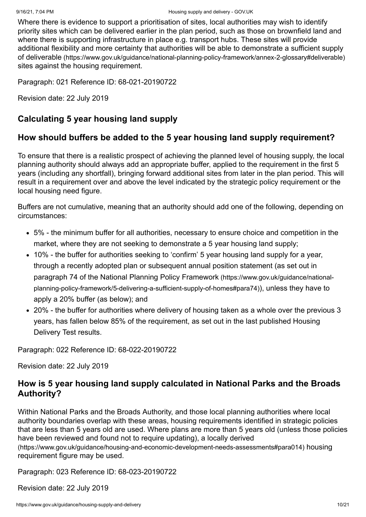Where there is evidence to support a prioritisation of sites, local authorities may wish to identify priority sites which can be delivered earlier in the plan period, such as those on brownfield land and where there is supporting infrastructure in place e.g. transport hubs. These sites will provide additional flexibility and more certainty that authorities will be able to demonstrate a sufficient supply of deliverable [\(https://www.gov.uk/guidance/national-planning-policy-framework/annex-2-glossary#deliverable\)](https://www.gov.uk/guidance/national-planning-policy-framework/annex-2-glossary#deliverable) sites against the housing requirement.

Paragraph: 021 Reference ID: 68-021-20190722

Revision date: 22 July 2019

#### <span id="page-9-0"></span>**Calculating 5 year housing land supply**

#### **How should buffers be added to the 5 year housing land supply requirement?**

To ensure that there is a realistic prospect of achieving the planned level of housing supply, the local planning authority should always add an appropriate buffer, applied to the [requirement](#page-2-0) in the first 5 years (including any shortfall), bringing forward additional sites from later in the plan period. This will result in a requirement over and above the level indicated by the strategic policy requirement or the local housing need figure.

Buffers are not cumulative, meaning that an authority should add one of the following, depending on circumstances:

- 5% the minimum buffer for all authorities, necessary to ensure choice and competition in the market, where they are not seeking to demonstrate a 5 year housing land supply;
- 10% the buffer for authorities seeking to ['confirm'](#page-3-0) 5 year housing land supply for a year, through a recently adopted plan or subsequent annual position statement (as set out in paragraph 74 of the National Planning Policy Framework (https://www.gov.uk/guidance/national[planning-policy-framework/5-delivering-a-sufficient-supply-of-homes#para74\)](https://www.gov.uk/guidance/national-planning-policy-framework/5-delivering-a-sufficient-supply-of-homes#para74)), unless they have to apply a 20% buffer (as below); and
- 20% the buffer for authorities where delivery of housing taken as a whole over the previous 3 years, has fallen below 85% of the requirement, as set out in the last published Housing Delivery Test results.

Paragraph: 022 Reference ID: 68-022-20190722

Revision date: 22 July 2019

#### **How is 5 year housing land supply calculated in National Parks and the Broads Authority?**

Within National Parks and the Broads Authority, and those local planning authorities where local authority boundaries overlap with these areas, housing requirements identified in strategic policies that are less than 5 years old are used. Where plans are more than 5 years old (unless those policies have been reviewed and found not to require updating), a locally derived [\(https://www.gov.uk/guidance/housing-and-economic-development-needs-assessments#para014\)](https://www.gov.uk/guidance/housing-and-economic-development-needs-assessments#para014) housing requirement figure may be used.

Paragraph: 023 Reference ID: 68-023-20190722

Revision date: 22 July 2019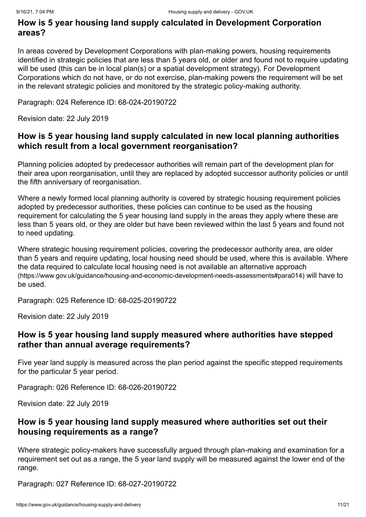### **How is 5 year housing land supply calculated in Development Corporation areas?**

In areas covered by Development Corporations with plan-making powers, housing requirements identified in strategic policies that are less than 5 years old, or older and found not to require updating will be used (this can be in local plan(s) or a spatial development strategy). For Development Corporations which do not have, or do not exercise, plan-making powers the requirement will be set in the relevant strategic policies and monitored by the strategic policy-making authority.

Paragraph: 024 Reference ID: 68-024-20190722

Revision date: 22 July 2019

#### **How is 5 year housing land supply calculated in new local planning authorities which result from a local government reorganisation?**

Planning policies adopted by predecessor authorities will remain part of the development plan for their area upon reorganisation, until they are replaced by adopted successor authority policies or until the fifth anniversary of reorganisation.

Where a newly formed local planning authority is covered by strategic housing requirement policies adopted by predecessor authorities, these policies can continue to be used as the housing requirement for calculating the 5 year housing land supply in the areas they apply where these are less than 5 years old, or they are older but have been reviewed within the last 5 years and found not to need updating.

Where strategic housing requirement policies, covering the predecessor authority area, are older than 5 years and require updating, local housing need should be used, where this is available. Where [the data required to calculate local housing need is not available an alternative approach](https://www.gov.uk/guidance/housing-and-economic-development-needs-assessments#para014) (https://www.gov.uk/guidance/housing-and-economic-development-needs-assessments#para014) will have to be used.

Paragraph: 025 Reference ID: 68-025-20190722

Revision date: 22 July 2019

#### **How is 5 year housing land supply measured where authorities have stepped rather than annual average requirements?**

Five year land supply is measured across the plan period against the specific stepped requirements for the particular 5 year period.

Paragraph: 026 Reference ID: 68-026-20190722

Revision date: 22 July 2019

#### **How is 5 year housing land supply measured where authorities set out their housing requirements as a range?**

Where strategic policy-makers have successfully argued through plan-making and examination for a requirement set out as a range, the 5 year land supply will be measured against the lower end of the range.

Paragraph: 027 Reference ID: 68-027-20190722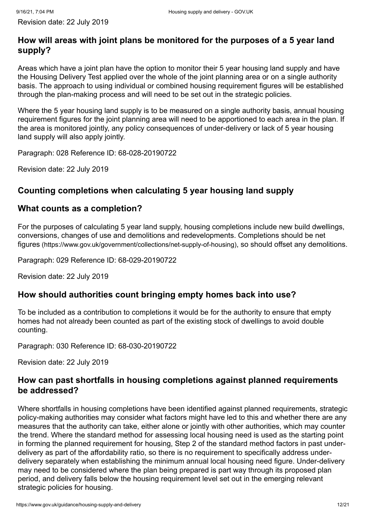## **How will areas with joint plans be monitored for the purposes of a 5 year land supply?**

Areas which have a joint plan have the option to monitor their 5 year housing land supply and have the Housing Delivery Test applied over the whole of the joint planning area or on a single authority basis. The approach to using individual or combined housing requirement figures will be established through the plan-making process and will need to be set out in the strategic policies.

Where the 5 year housing land supply is to be measured on a single authority basis, annual housing requirement figures for the joint planning area will need to be apportioned to each area in the plan. If the area is monitored jointly, any policy consequences of under-delivery or lack of 5 year housing land supply will also apply jointly.

Paragraph: 028 Reference ID: 68-028-20190722

Revision date: 22 July 2019

## <span id="page-11-0"></span>**Counting completions when calculating 5 year housing land supply**

## **What counts as a completion?**

For the purposes of calculating 5 year land supply, housing completions include new build dwellings, [conversions, changes of use and demolitions and redevelopments. Completions should be net](https://www.gov.uk/government/collections/net-supply-of-housing) figures (https://www.gov.uk/government/collections/net-supply-of-housing), so should offset any demolitions.

Paragraph: 029 Reference ID: 68-029-20190722

Revision date: 22 July 2019

## **How should authorities count bringing empty homes back into use?**

To be included as a contribution to completions it would be for the authority to ensure that empty homes had not already been counted as part of the existing stock of dwellings to avoid double counting.

Paragraph: 030 Reference ID: 68-030-20190722

Revision date: 22 July 2019

## **How can past shortfalls in housing completions against planned requirements be addressed?**

Where shortfalls in housing completions have been identified against planned requirements, strategic policy-making authorities may consider what factors might have led to this and whether there are any measures that the authority can take, either alone or jointly with other authorities, which may counter the trend. Where the standard method for assessing local housing need is used as the starting point in forming the planned requirement for housing, Step 2 of the standard method factors in past underdelivery as part of the affordability ratio, so there is no requirement to specifically address underdelivery separately when establishing the minimum annual local housing need figure. Under-delivery may need to be considered where the plan being prepared is part way through its proposed plan period, and delivery falls below the housing requirement level set out in the emerging relevant strategic policies for housing.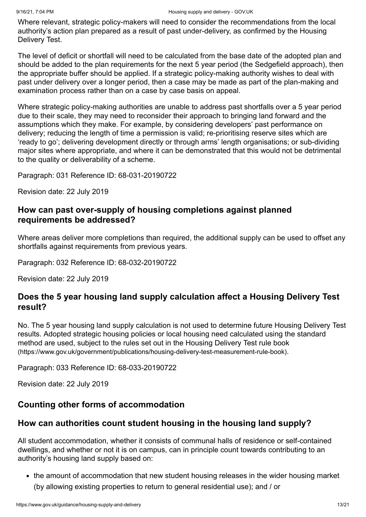Where relevant, strategic policy-makers will need to consider the recommendations from the local authority's action plan prepared as a result of past under-delivery, as confirmed by the Housing Delivery Test.

The level of deficit or shortfall will need to be calculated from the base date of the adopted plan and should be added to the plan requirements for the next 5 year period (the Sedgefield approach), then the appropriate buffer should be applied. If a strategic policy-making authority wishes to deal with past under delivery over a longer period, then a case may be made as part of the plan-making and examination process rather than on a case by case basis on appeal.

Where strategic policy-making authorities are unable to address past shortfalls over a 5 year period due to their scale, they may need to reconsider their approach to bringing land forward and the assumptions which they make. For example, by considering developers' past performance on delivery; reducing the length of time a permission is valid; re-prioritising reserve sites which are 'ready to go'; delivering development directly or through arms' length organisations; or sub-dividing major sites where appropriate, and where it can be demonstrated that this would not be detrimental to the quality or deliverability of a scheme.

Paragraph: 031 Reference ID: 68-031-20190722

Revision date: 22 July 2019

#### **How can past over-supply of housing completions against planned requirements be addressed?**

Where areas deliver more completions than required, the additional supply can be used to offset any shortfalls against requirements from previous years.

Paragraph: 032 Reference ID: 68-032-20190722

Revision date: 22 July 2019

#### **Does the 5 year housing land supply calculation affect a Housing Delivery Test result?**

No. The 5 year housing land supply calculation is not used to determine future Housing Delivery Test results. Adopted strategic housing policies or local housing need calculated using the standard [method are used, subject to the rules set out in the Housing Delivery Test rule book](https://www.gov.uk/government/publications/housing-delivery-test-measurement-rule-book) (https://www.gov.uk/government/publications/housing-delivery-test-measurement-rule-book).

Paragraph: 033 Reference ID: 68-033-20190722

Revision date: 22 July 2019

#### <span id="page-12-0"></span>**Counting other forms of accommodation**

#### **How can authorities count student housing in the housing land supply?**

All student accommodation, whether it consists of communal halls of residence or self-contained dwellings, and whether or not it is on campus, can in principle count towards contributing to an authority's housing land supply based on:

• the amount of accommodation that new student housing releases in the wider housing market (by allowing existing properties to return to general residential use); and / or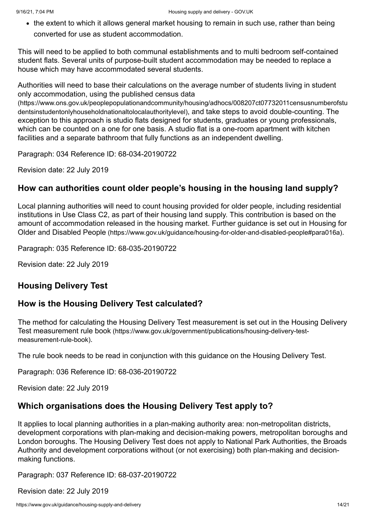• the extent to which it allows general market housing to remain in such use, rather than being converted for use as student accommodation.

This will need to be applied to both communal establishments and to multi bedroom self-contained student flats. Several units of purpose-built student accommodation may be needed to replace a house which may have accommodated several students.

Authorities will need to base their calculations on the average number of students living in student only accommodation, using the published census data [\(https://www.ons.gov.uk/peoplepopulationandcommunity/housing/adhocs/008207ct07732011censusnumberofstu](https://www.ons.gov.uk/peoplepopulationandcommunity/housing/adhocs/008207ct07732011censusnumberofstudentsinstudentonlyhouseholdnationaltolocalauthoritylevel)

dentsinstudentonlyhouseholdnationaltolocalauthoritylevel), and take steps to avoid double-counting. The exception to this approach is studio flats designed for students, graduates or young professionals, which can be counted on a one for one basis. A studio flat is a one-room apartment with kitchen facilities and a separate bathroom that fully functions as an independent dwelling.

Paragraph: 034 Reference ID: 68-034-20190722

Revision date: 22 July 2019

#### **How can authorities count older people's housing in the housing land supply?**

Local planning authorities will need to count housing provided for older people, including residential institutions in Use Class C2, as part of their housing land supply. This contribution is based on the [amount of accommodation released in the housing market. Further guidance is set out in Housing for](https://www.gov.uk/guidance/housing-for-older-and-disabled-people#para016a) Older and Disabled People (https://www.gov.uk/guidance/housing-for-older-and-disabled-people#para016a).

Paragraph: 035 Reference ID: 68-035-20190722

Revision date: 22 July 2019

#### <span id="page-13-0"></span>**Housing Delivery Test**

#### **How is the Housing Delivery Test calculated?**

[The method for calculating the Housing Delivery Test measurement is set out in the Housing Delivery](https://www.gov.uk/government/publications/housing-delivery-test-measurement-rule-book) Test measurement rule book (https://www.gov.uk/government/publications/housing-delivery-testmeasurement-rule-book).

The rule book needs to be read in conjunction with this guidance on the Housing Delivery Test.

Paragraph: 036 Reference ID: 68-036-20190722

Revision date: 22 July 2019

#### **Which organisations does the Housing Delivery Test apply to?**

It applies to local planning authorities in a plan-making authority area: non-metropolitan districts, development corporations with plan-making and decision-making powers, metropolitan boroughs and London boroughs. The Housing Delivery Test does not apply to National Park Authorities, the Broads Authority and development corporations without (or not exercising) both plan-making and decisionmaking functions.

Paragraph: 037 Reference ID: 68-037-20190722

Revision date: 22 July 2019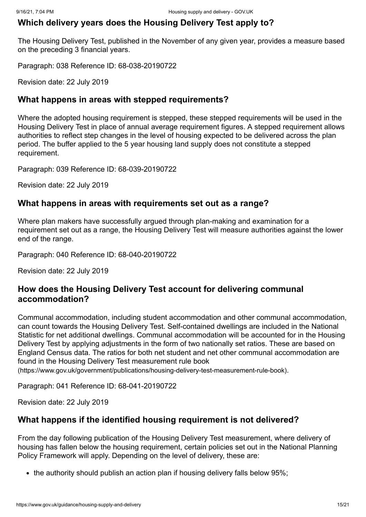#### **Which delivery years does the Housing Delivery Test apply to?**

The Housing Delivery Test, published in the November of any given year, provides a measure based on the preceding 3 financial years.

Paragraph: 038 Reference ID: 68-038-20190722

Revision date: 22 July 2019

#### **What happens in areas with stepped requirements?**

Where the adopted housing requirement is stepped, these stepped requirements will be used in the Housing Delivery Test in place of annual average requirement figures. A stepped requirement allows authorities to reflect step changes in the level of housing expected to be delivered across the plan period. The [buffer applied](#page-9-0) to the 5 year housing land supply does not constitute a stepped requirement.

Paragraph: 039 Reference ID: 68-039-20190722

Revision date: 22 July 2019

#### **What happens in areas with requirements set out as a range?**

Where plan makers have successfully argued through plan-making and examination for a requirement set out as a range, the Housing Delivery Test will measure authorities against the lower end of the range.

Paragraph: 040 Reference ID: 68-040-20190722

Revision date: 22 July 2019

#### **How does the Housing Delivery Test account for delivering communal accommodation?**

Communal accommodation, including student accommodation and other communal accommodation, can count towards the Housing Delivery Test. Self-contained dwellings are included in the National Statistic for net additional dwellings. Communal accommodation will be accounted for in the Housing Delivery Test by applying adjustments in the form of two nationally set ratios. These are based on England Census data. The ratios for both net student and net other communal accommodation are found in the Housing Delivery Test measurement rule book [\(https://www.gov.uk/government/publications/housing-delivery-test-measurement-rule-book\)](https://www.gov.uk/government/publications/housing-delivery-test-measurement-rule-book).

Paragraph: 041 Reference ID: 68-041-20190722

Revision date: 22 July 2019

#### **What happens if the identified housing requirement is not delivered?**

From the day following publication of the Housing Delivery Test measurement, where delivery of housing has fallen below the housing requirement, certain policies set out in the National Planning Policy Framework will apply. Depending on the level of delivery, these are:

• the authority should publish an action plan if housing delivery falls below 95%;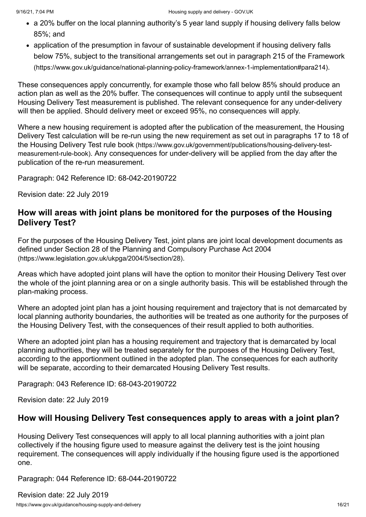- a 20% buffer on the local planning authority's 5 year land supply if housing delivery falls below 85%; and
- application of the presumption in favour of sustainable development if housing delivery falls [below 75%, subject to the transitional arrangements set out in paragraph 215 of the Framework](https://www.gov.uk/guidance/national-planning-policy-framework/annex-1-implementation#para214) (https://www.gov.uk/guidance/national-planning-policy-framework/annex-1-implementation#para214).

These consequences apply concurrently, for example those who fall below 85% should produce an action plan as well as the 20% buffer. The consequences will continue to apply until the subsequent Housing Delivery Test measurement is published. The relevant consequence for any under-delivery will then be applied. Should delivery meet or exceed 95%, no consequences will apply.

Where a new housing requirement is adopted after the publication of the measurement, the Housing Delivery Test calculation will be re-run using the new requirement as set out in paragraphs 17 to 18 of the Housing Delivery Test rule book (https://www.gov.uk/government/publications/housing-delivery-testmeasurement-rule-book)[. Any consequences for under-delivery will be applied from the day after th](https://www.gov.uk/government/publications/housing-delivery-test-measurement-rule-book)e publication of the re-run measurement.

Paragraph: 042 Reference ID: 68-042-20190722

Revision date: 22 July 2019

### **How will areas with joint plans be monitored for the purposes of the Housing Delivery Test?**

For the purposes of the Housing Delivery Test, joint plans are joint local development documents as [defined under Section 28 of the Planning and Compulsory Purchase Act 2004](https://www.legislation.gov.uk/ukpga/2004/5/section/28) (https://www.legislation.gov.uk/ukpga/2004/5/section/28).

Areas which have adopted joint plans will have the option to monitor their Housing Delivery Test over the whole of the joint planning area or on a single authority basis. This will be established through the plan-making process.

Where an adopted joint plan has a joint housing requirement and trajectory that is not demarcated by local planning authority boundaries, the authorities will be treated as one authority for the purposes of the Housing Delivery Test, with the consequences of their result applied to both authorities.

Where an adopted joint plan has a housing requirement and trajectory that is demarcated by local planning authorities, they will be treated separately for the purposes of the Housing Delivery Test, according to the apportionment outlined in the adopted plan. The consequences for each authority will be separate, according to their demarcated Housing Delivery Test results.

Paragraph: 043 Reference ID: 68-043-20190722

Revision date: 22 July 2019

#### **How will Housing Delivery Test consequences apply to areas with a joint plan?**

Housing Delivery Test consequences will apply to all local planning authorities with a joint plan collectively if the housing figure used to measure against the delivery test is the joint housing requirement. The consequences will apply individually if the housing figure used is the apportioned one.

Paragraph: 044 Reference ID: 68-044-20190722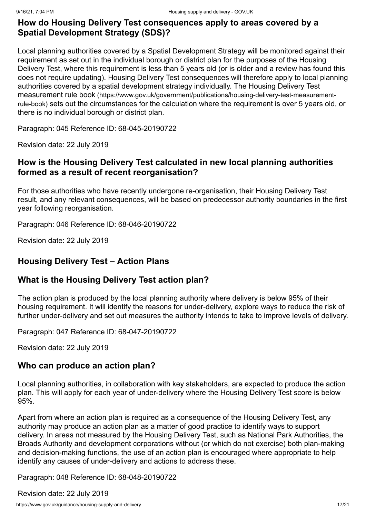#### **How do Housing Delivery Test consequences apply to areas covered by a Spatial Development Strategy (SDS)?**

Local planning authorities covered by a Spatial Development Strategy will be monitored against their requirement as set out in the individual borough or district plan for the purposes of the Housing Delivery Test, where this requirement is less than 5 years old (or is older and a review has found this does not require updating). Housing Delivery Test consequences will therefore apply to local planning [authorities covered by a spatial development strategy individually. The Housing Delivery Test](https://www.gov.uk/government/publications/housing-delivery-test-measurement-rule-book) measurement rule book (https://www.gov.uk/government/publications/housing-delivery-test-measurementrule-book) sets out the circumstances for the calculation where the requirement is over 5 years old, or there is no individual borough or district plan.

Paragraph: 045 Reference ID: 68-045-20190722

Revision date: 22 July 2019

#### **How is the Housing Delivery Test calculated in new local planning authorities formed as a result of recent reorganisation?**

For those authorities who have recently undergone re-organisation, their Housing Delivery Test result, and any relevant consequences, will be based on predecessor authority boundaries in the first year following reorganisation.

Paragraph: 046 Reference ID: 68-046-20190722

Revision date: 22 July 2019

## <span id="page-16-0"></span>**Housing Delivery Test – Action Plans**

#### **What is the Housing Delivery Test action plan?**

The action plan is produced by the local planning authority where delivery is below 95% of their housing requirement. It will identify the reasons for under-delivery, explore ways to reduce the risk of further under-delivery and set out measures the authority intends to take to improve levels of delivery.

Paragraph: 047 Reference ID: 68-047-20190722

Revision date: 22 July 2019

#### **Who can produce an action plan?**

Local planning authorities, in collaboration with key stakeholders, are expected to produce the action plan. This will apply for each year of under-delivery where the Housing Delivery Test score is below 95%.

Apart from where an action plan is required as a consequence of the Housing Delivery Test, any authority may produce an action plan as a matter of good practice to identify ways to support delivery. In areas not measured by the Housing Delivery Test, such as National Park Authorities, the Broads Authority and development corporations without (or which do not exercise) both plan-making and decision-making functions, the use of an action plan is encouraged where appropriate to help identify any causes of under-delivery and actions to address these.

Paragraph: 048 Reference ID: 68-048-20190722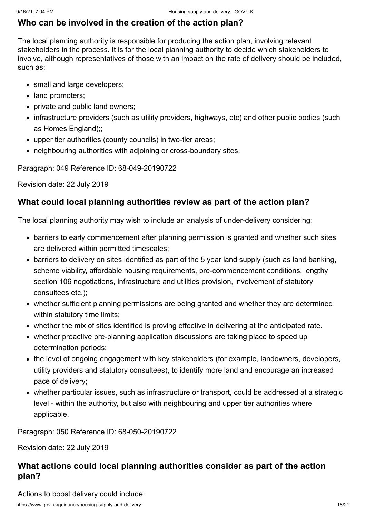### **Who can be involved in the creation of the action plan?**

The local planning authority is responsible for producing the action plan, involving relevant stakeholders in the process. It is for the local planning authority to decide which stakeholders to involve, although representatives of those with an impact on the rate of delivery should be included, such as:

- small and large developers;
- land promoters;
- private and public land owners;
- infrastructure providers (such as utility providers, highways, etc) and other public bodies (such as Homes England);;
- upper tier authorities (county councils) in two-tier areas;
- neighbouring authorities with adjoining or cross-boundary sites.

Paragraph: 049 Reference ID: 68-049-20190722

Revision date: 22 July 2019

#### **What could local planning authorities review as part of the action plan?**

The local planning authority may wish to include an analysis of under-delivery considering:

- barriers to early commencement after planning permission is granted and whether such sites are delivered within permitted timescales;
- barriers to delivery on sites identified as part of the 5 year land supply (such as land banking, scheme viability, affordable housing requirements, pre-commencement conditions, lengthy section 106 negotiations, infrastructure and utilities provision, involvement of statutory consultees etc.);
- whether sufficient planning permissions are being granted and whether they are determined within statutory time limits;
- whether the mix of sites identified is proving effective in delivering at the anticipated rate.
- whether proactive pre-planning application discussions are taking place to speed up determination periods;
- the level of ongoing engagement with key stakeholders (for example, landowners, developers, utility providers and statutory consultees), to identify more land and encourage an increased pace of delivery;
- whether particular issues, such as infrastructure or transport, could be addressed at a strategic level - within the authority, but also with neighbouring and upper tier authorities where applicable.

Paragraph: 050 Reference ID: 68-050-20190722

Revision date: 22 July 2019

## **What actions could local planning authorities consider as part of the action plan?**

Actions to boost delivery could include: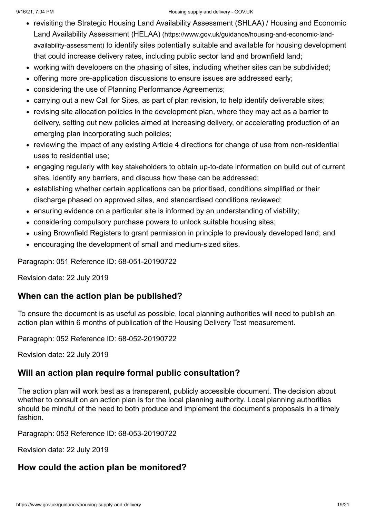#### 9/16/21, 7:04 PM Housing supply and delivery - GOV.UK

- [revisiting the Strategic Housing Land Availability Assessment \(SHLAA\) / Housing and Economic](https://www.gov.uk/guidance/housing-and-economic-land-availability-assessment) Land Availability Assessment (HELAA) (https://www.gov.uk/guidance/housing-and-economic-landavailability-assessment) to identify sites potentially suitable and available for housing development that could increase delivery rates, including public sector land and brownfield land;
- working with developers on the phasing of sites, including whether sites can be subdivided;
- offering more pre-application discussions to ensure issues are addressed early;
- considering the use of Planning Performance Agreements;
- carrying out a new Call for Sites, as part of plan revision, to help identify deliverable sites;
- revising site allocation policies in the development plan, where they may act as a barrier to delivery, setting out new policies aimed at increasing delivery, or accelerating production of an emerging plan incorporating such policies;
- reviewing the impact of any existing Article 4 directions for change of use from non-residential uses to residential use;
- engaging regularly with key stakeholders to obtain up-to-date information on build out of current sites, identify any barriers, and discuss how these can be addressed;
- establishing whether certain applications can be prioritised, conditions simplified or their discharge phased on approved sites, and standardised conditions reviewed;
- ensuring evidence on a particular site is informed by an understanding of viability;
- considering compulsory purchase powers to unlock suitable housing sites;
- using Brownfield Registers to grant permission in principle to previously developed land; and
- encouraging the development of small and medium-sized sites.

Paragraph: 051 Reference ID: 68-051-20190722

Revision date: 22 July 2019

#### **When can the action plan be published?**

To ensure the document is as useful as possible, local planning authorities will need to publish an action plan within 6 months of publication of the Housing Delivery Test measurement.

Paragraph: 052 Reference ID: 68-052-20190722

Revision date: 22 July 2019

#### **Will an action plan require formal public consultation?**

The action plan will work best as a transparent, publicly accessible document. The decision about whether to consult on an action plan is for the local planning authority. Local planning authorities should be mindful of the need to both produce and implement the document's proposals in a timely fashion.

Paragraph: 053 Reference ID: 68-053-20190722

Revision date: 22 July 2019

## **How could the action plan be monitored?**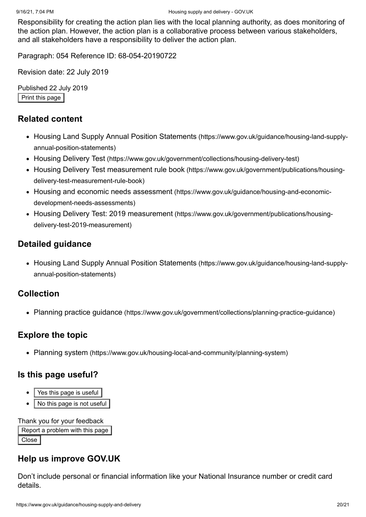Responsibility for creating the action plan lies with the local planning authority, as does monitoring of the action plan. However, the action plan is a collaborative process between various stakeholders, and all stakeholders have a responsibility to deliver the action plan.

Paragraph: 054 Reference ID: 68-054-20190722

Revision date: 22 July 2019

Published 22 July 2019 Print this page

#### **Related content**

- [Housing Land Supply Annual Position Statements](https://www.gov.uk/guidance/housing-land-supply-annual-position-statements) (https://www.gov.uk/guidance/housing-land-supplyannual-position-statements)
- Housing Delivery Test [\(https://www.gov.uk/government/collections/housing-delivery-test\)](https://www.gov.uk/government/collections/housing-delivery-test)
- [Housing Delivery Test measurement rule book](https://www.gov.uk/government/publications/housing-delivery-test-measurement-rule-book) (https://www.gov.uk/government/publications/housingdelivery-test-measurement-rule-book)
- Housing and economic needs assessment [\(https://www.gov.uk/guidance/housing-and-economic](https://www.gov.uk/guidance/housing-and-economic-development-needs-assessments)development-needs-assessments)
- Housing Delivery Test: 2019 measurement [\(https://www.gov.uk/government/publications/housing](https://www.gov.uk/government/publications/housing-delivery-test-2019-measurement)delivery-test-2019-measurement)

#### **Detailed guidance**

• [Housing Land Supply Annual Position Statements](https://www.gov.uk/guidance/housing-land-supply-annual-position-statements) (https://www.gov.uk/guidance/housing-land-supplyannual-position-statements)

#### **Collection**

Planning practice guidance [\(https://www.gov.uk/government/collections/planning-practice-guidance\)](https://www.gov.uk/government/collections/planning-practice-guidance)

#### **Explore the topic**

Planning system [\(https://www.gov.uk/housing-local-and-community/planning-system\)](https://www.gov.uk/housing-local-and-community/planning-system)

#### **Is this page useful?**

- Yes this page is useful
- No this page is not useful

Thank you for your feedback

Report a problem with this page Close<sup>1</sup>

#### **Help us improve GOV.UK**

Don't include personal or financial information like your National Insurance number or credit card details.